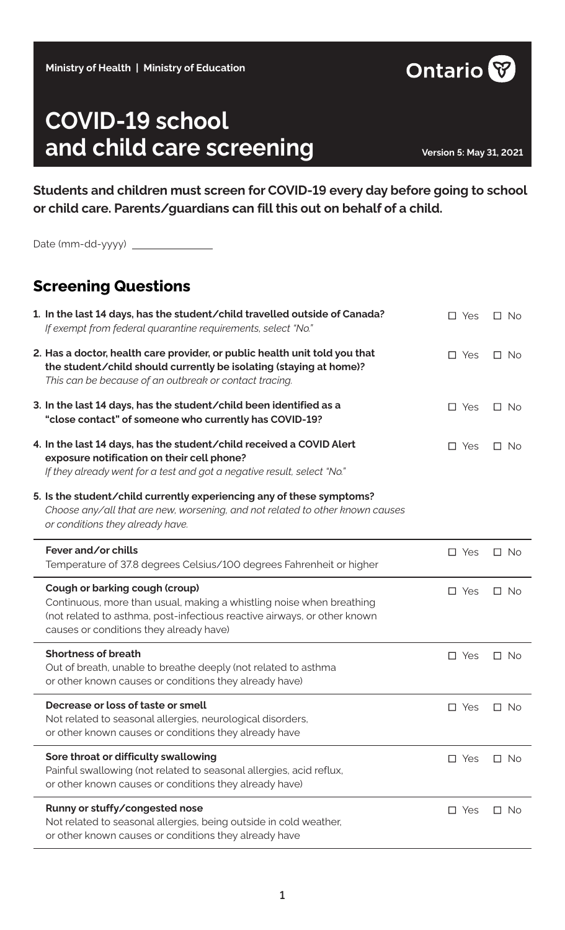# **Ministry of Health | Ministry of Education**

# **COVID-19 school**  and child care screening **and child care screening**

**Students and children must screen for COVID-19 every day before going to school or child care. Parents/guardians can fill this out on behalf of a child.**

| <b>Screening Questions</b>                                                                                                                                                                                                    |            |           |
|-------------------------------------------------------------------------------------------------------------------------------------------------------------------------------------------------------------------------------|------------|-----------|
| 1. In the last 14 days, has the student/child travelled outside of Canada?<br>If exempt from federal quarantine requirements, select "No."                                                                                    | $\Box$ Yes | $\Box$ No |
| 2. Has a doctor, health care provider, or public health unit told you that<br>the student/child should currently be isolating (staying at home)?<br>This can be because of an outbreak or contact tracing.                    | $\Box$ Yes | $\Box$ No |
| 3. In the last 14 days, has the student/child been identified as a<br>"close contact" of someone who currently has COVID-19?                                                                                                  | $\Box$ Yes | $\Box$ No |
| 4. In the last 14 days, has the student/child received a COVID Alert<br>exposure notification on their cell phone?<br>If they already went for a test and got a negative result, select "No."                                 | $\Box$ Yes | $\Box$ No |
| 5. Is the student/child currently experiencing any of these symptoms?<br>Choose any/all that are new, worsening, and not related to other known causes<br>or conditions they already have.                                    |            |           |
|                                                                                                                                                                                                                               |            |           |
| Fever and/or chills<br>Temperature of 37.8 degrees Celsius/100 degrees Fahrenheit or higher                                                                                                                                   | $\Box$ Yes | $\Box$ No |
| Cough or barking cough (croup)<br>Continuous, more than usual, making a whistling noise when breathing<br>(not related to asthma, post-infectious reactive airways, or other known<br>causes or conditions they already have) | $\Box$ Yes | $\Box$ No |
| <b>Shortness of breath</b><br>Out of breath, unable to breathe deeply (not related to asthma<br>or other known causes or conditions they already have)                                                                        | $\Box$ Yes | $\Box$ No |
| Decrease or loss of taste or smell<br>Not related to seasonal allergies, neurological disorders,<br>or other known causes or conditions they already have                                                                     | $\Box$ Yes | $\Box$ No |
| Sore throat or difficulty swallowing<br>Painful swallowing (not related to seasonal allergies, acid reflux,<br>or other known causes or conditions they already have)                                                         | $\Box$ Yes | $\Box$ No |

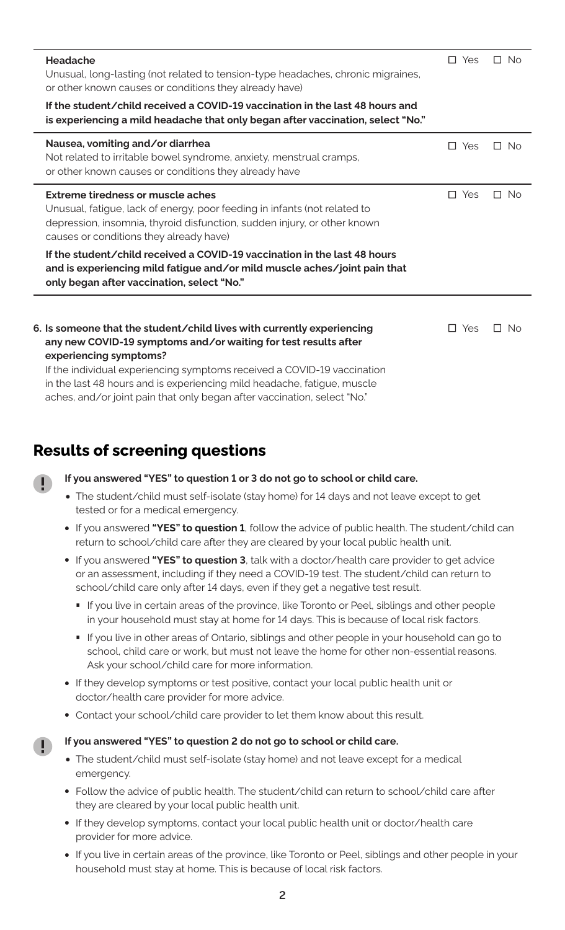| <b>Headache</b>                                                                                                                                                                                                                                | $\Box$ Yes | $\Box$ No |
|------------------------------------------------------------------------------------------------------------------------------------------------------------------------------------------------------------------------------------------------|------------|-----------|
| Unusual, long-lasting (not related to tension-type headaches, chronic migraines,<br>or other known causes or conditions they already have)                                                                                                     |            |           |
| If the student/child received a COVID-19 vaccination in the last 48 hours and<br>is experiencing a mild headache that only began after vaccination, select "No."                                                                               |            |           |
| Nausea, vomiting and/or diarrhea<br>Not related to irritable bowel syndrome, anxiety, menstrual cramps,<br>or other known causes or conditions they already have                                                                               | $\Box$ Yes | $\Box$ No |
| Extreme tiredness or muscle aches<br>Unusual, fatigue, lack of energy, poor feeding in infants (not related to<br>depression, insomnia, thyroid disfunction, sudden injury, or other known<br>causes or conditions they already have)          | $\Box$ Yes | $\Box$ No |
| If the student/child received a COVID-19 vaccination in the last 48 hours<br>and is experiencing mild fatigue and/or mild muscle aches/joint pain that<br>only began after vaccination, select "No."                                           |            |           |
| 6. Is someone that the student/child lives with currently experiencing<br>any new COVID-19 symptoms and/or waiting for test results after<br>experiencing symptoms?<br>If the individual experiencing symptoms received a COVID-19 vaccination | $\Box$ Yes | $\Box$ No |
| in the last 48 hours and is experiencing mild headache, fatigue, muscle<br>aches, and/or joint pain that only began after vaccination, select "No."                                                                                            |            |           |

# **Results of screening questions**

## **If you answered "YES" to question 1 or 3 do not go to school or child care.**

- **•** The student/child must self-isolate (stay home) for 14 days and not leave except to get tested or for a medical emergency.
- **•** If you answered **"YES" to question 1**, follow the advice of public health. The student/child can return to school/child care after they are cleared by your local public health unit.
- **•** If you answered **"YES" to question 3**, talk with a doctor/health care provider to get advice or an assessment, including if they need a COVID-19 test. The student/child can return to school/child care only after 14 days, even if they get a negative test result.
	- **∙** If you live in certain areas of the province, like Toronto or Peel, siblings and other people in your household must stay at home for 14 days. This is because of local risk factors.
	- If you live in other areas of Ontario, siblings and other people in your household can go to school, child care or work, but must not leave the home for other non-essential reasons. Ask your school/child care for more information.
- **•** If they develop symptoms or test positive, contact your local public health unit or doctor/health care provider for more advice.
- **•** Contact your school/child care provider to let them know about this result.

#### **If you answered "YES" to question 2 do not go to school or child care.**

- **•** The student/child must self-isolate (stay home) and not leave except for a medical emergency.
- **•** Follow the advice of public health. The student/child can return to school/child care after they are cleared by your local public health unit.
- **•** If they develop symptoms, contact your local public health unit or doctor/health care provider for more advice.
- **•** If you live in certain areas of the province, like Toronto or Peel, siblings and other people in your household must stay at home. This is because of local risk factors.